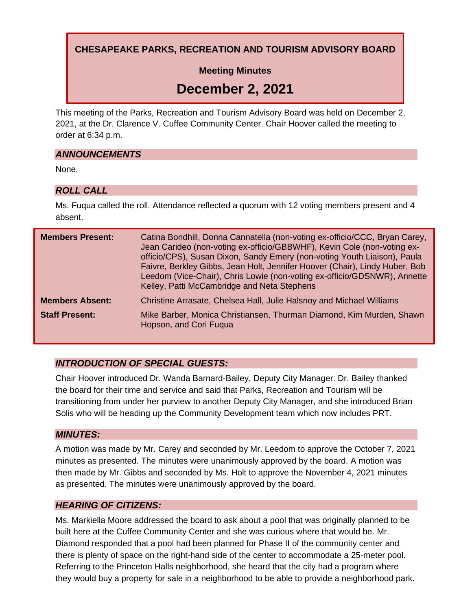**CHESAPEAKE PARKS, RECREATION AND TOURISM ADVISORY BOARD**

**Meeting Minutes**

# **December 2, 2021**

This meeting of the Parks, Recreation and Tourism Advisory Board was held on December 2, 2021, at the Dr. Clarence V. Cuffee Community Center. Chair Hoover called the meeting to order at 6:34 p.m.

## *ANNOUNCEMENTS*

None.

## *ROLL CALL*

Ms. Fuqua called the roll. Attendance reflected a quorum with 12 voting members present and 4 absent.

| <b>Members Present:</b> | Catina Bondhill, Donna Cannatella (non-voting ex-officio/CCC, Bryan Carey,<br>Jean Carideo (non-voting ex-officio/GBBWHF), Kevin Cole (non-voting ex-<br>officio/CPS), Susan Dixon, Sandy Emery (non-voting Youth Liaison), Paula<br>Faivre, Berkley Gibbs, Jean Holt, Jennifer Hoover (Chair), Lindy Huber, Bob<br>Leedom (Vice-Chair), Chris Lowie (non-voting ex-officio/GDSNWR), Annette<br>Kelley, Patti McCambridge and Neta Stephens |
|-------------------------|---------------------------------------------------------------------------------------------------------------------------------------------------------------------------------------------------------------------------------------------------------------------------------------------------------------------------------------------------------------------------------------------------------------------------------------------|
| <b>Members Absent:</b>  | Christine Arrasate, Chelsea Hall, Julie Halsnoy and Michael Williams                                                                                                                                                                                                                                                                                                                                                                        |
| <b>Staff Present:</b>   | Mike Barber, Monica Christiansen, Thurman Diamond, Kim Murden, Shawn<br>Hopson, and Cori Fugua                                                                                                                                                                                                                                                                                                                                              |

## *INTRODUCTION OF SPECIAL GUESTS:*

Chair Hoover introduced Dr. Wanda Barnard-Bailey, Deputy City Manager. Dr. Bailey thanked the board for their time and service and said that Parks, Recreation and Tourism will be transitioning from under her purview to another Deputy City Manager, and she introduced Brian Solis who will be heading up the Community Development team which now includes PRT.

#### *MINUTES:*

A motion was made by Mr. Carey and seconded by Mr. Leedom to approve the October 7, 2021 minutes as presented. The minutes were unanimously approved by the board. A motion was then made by Mr. Gibbs and seconded by Ms. Holt to approve the November 4, 2021 minutes as presented. The minutes were unanimously approved by the board.

#### *HEARING OF CITIZENS:*

Ms. Markiella Moore addressed the board to ask about a pool that was originally planned to be built here at the Cuffee Community Center and she was curious where that would be. Mr. Diamond responded that a pool had been planned for Phase II of the community center and there is plenty of space on the right-hand side of the center to accommodate a 25-meter pool. Referring to the Princeton Halls neighborhood, she heard that the city had a program where they would buy a property for sale in a neighborhood to be able to provide a neighborhood park.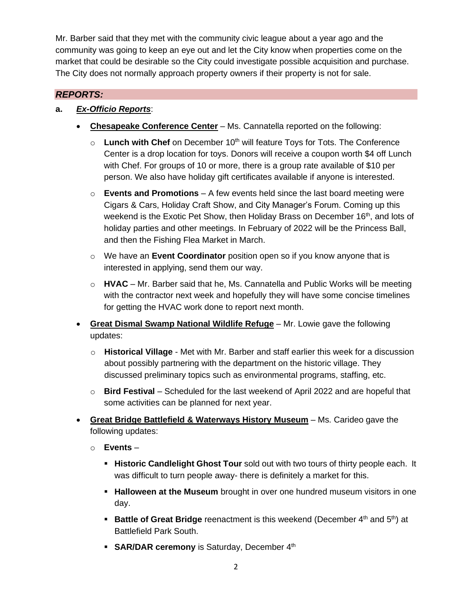Mr. Barber said that they met with the community civic league about a year ago and the community was going to keep an eye out and let the City know when properties come on the market that could be desirable so the City could investigate possible acquisition and purchase. The City does not normally approach property owners if their property is not for sale.

## *REPORTS:*

### **a.** *Ex-Officio Reports*:

- **Chesapeake Conference Center** Ms. Cannatella reported on the following:
	- o **Lunch with Chef** on December 10<sup>th</sup> will feature Toys for Tots. The Conference Center is a drop location for toys. Donors will receive a coupon worth \$4 off Lunch with Chef. For groups of 10 or more, there is a group rate available of \$10 per person. We also have holiday gift certificates available if anyone is interested.
	- o **Events and Promotions** A few events held since the last board meeting were Cigars & Cars, Holiday Craft Show, and City Manager's Forum. Coming up this weekend is the Exotic Pet Show, then Holiday Brass on December 16<sup>th</sup>, and lots of holiday parties and other meetings. In February of 2022 will be the Princess Ball, and then the Fishing Flea Market in March.
	- o We have an **Event Coordinator** position open so if you know anyone that is interested in applying, send them our way.
	- o **HVAC** Mr. Barber said that he, Ms. Cannatella and Public Works will be meeting with the contractor next week and hopefully they will have some concise timelines for getting the HVAC work done to report next month.
- **Great Dismal Swamp National Wildlife Refuge** Mr. Lowie gave the following updates:
	- o **Historical Village** Met with Mr. Barber and staff earlier this week for a discussion about possibly partnering with the department on the historic village. They discussed preliminary topics such as environmental programs, staffing, etc.
	- o **Bird Festival** Scheduled for the last weekend of April 2022 and are hopeful that some activities can be planned for next year.
- **Great Bridge Battlefield & Waterways History Museum** Ms. Carideo gave the following updates:
	- o **Events**
		- **. Historic Candlelight Ghost Tour** sold out with two tours of thirty people each. It was difficult to turn people away- there is definitely a market for this.
		- **EXTERM Halloween at the Museum** brought in over one hundred museum visitors in one day.
		- **Battle of Great Bridge** reenactment is this weekend (December 4<sup>th</sup> and 5<sup>th</sup>) at Battlefield Park South.
		- **SAR/DAR ceremony** is Saturday, December 4<sup>th</sup>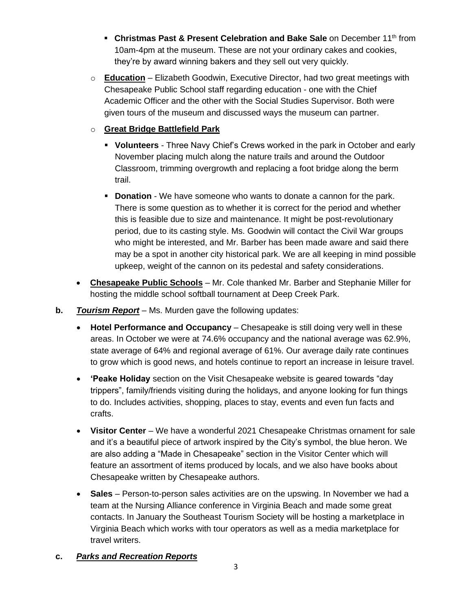- **Christmas Past & Present Celebration and Bake Sale** on December 11<sup>th</sup> from 10am-4pm at the museum. These are not your ordinary cakes and cookies, they're by award winning bakers and they sell out very quickly.
- o **Education** Elizabeth Goodwin, Executive Director, had two great meetings with Chesapeake Public School staff regarding education - one with the Chief Academic Officer and the other with the Social Studies Supervisor. Both were given tours of the museum and discussed ways the museum can partner.

## o **Great Bridge Battlefield Park**

- **Volunteers** Three Navy Chief's Crews worked in the park in October and early November placing mulch along the nature trails and around the Outdoor Classroom, trimming overgrowth and replacing a foot bridge along the berm trail.
- **Donation** We have someone who wants to donate a cannon for the park. There is some question as to whether it is correct for the period and whether this is feasible due to size and maintenance. It might be post-revolutionary period, due to its casting style. Ms. Goodwin will contact the Civil War groups who might be interested, and Mr. Barber has been made aware and said there may be a spot in another city historical park. We are all keeping in mind possible upkeep, weight of the cannon on its pedestal and safety considerations.
- **Chesapeake Public Schools** Mr. Cole thanked Mr. Barber and Stephanie Miller for hosting the middle school softball tournament at Deep Creek Park.
- **b.** *Tourism Report* Ms. Murden gave the following updates:
	- **Hotel Performance and Occupancy** Chesapeake is still doing very well in these areas. In October we were at 74.6% occupancy and the national average was 62.9%, state average of 64% and regional average of 61%. Our average daily rate continues to grow which is good news, and hotels continue to report an increase in leisure travel.
	- **'Peake Holiday** section on the Visit Chesapeake website is geared towards "day trippers", family/friends visiting during the holidays, and anyone looking for fun things to do. Includes activities, shopping, places to stay, events and even fun facts and crafts.
	- **Visitor Center** We have a wonderful 2021 Chesapeake Christmas ornament for sale and it's a beautiful piece of artwork inspired by the City's symbol, the blue heron. We are also adding a "Made in Chesapeake" section in the Visitor Center which will feature an assortment of items produced by locals, and we also have books about Chesapeake written by Chesapeake authors.
	- **Sales** Person-to-person sales activities are on the upswing. In November we had a team at the Nursing Alliance conference in Virginia Beach and made some great contacts. In January the Southeast Tourism Society will be hosting a marketplace in Virginia Beach which works with tour operators as well as a media marketplace for travel writers.

## **c.** *Parks and Recreation Reports*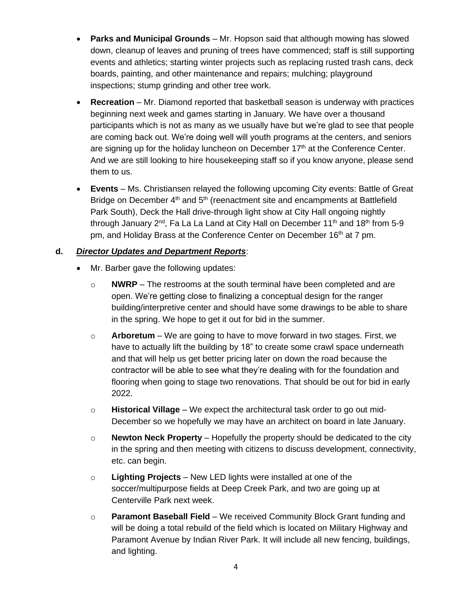- **Parks and Municipal Grounds** Mr. Hopson said that although mowing has slowed down, cleanup of leaves and pruning of trees have commenced; staff is still supporting events and athletics; starting winter projects such as replacing rusted trash cans, deck boards, painting, and other maintenance and repairs; mulching; playground inspections; stump grinding and other tree work.
- **Recreation** Mr. Diamond reported that basketball season is underway with practices beginning next week and games starting in January. We have over a thousand participants which is not as many as we usually have but we're glad to see that people are coming back out. We're doing well will youth programs at the centers, and seniors are signing up for the holiday luncheon on December  $17<sup>th</sup>$  at the Conference Center. And we are still looking to hire housekeeping staff so if you know anyone, please send them to us.
- **Events** Ms. Christiansen relayed the following upcoming City events: Battle of Great Bridge on December 4<sup>th</sup> and 5<sup>th</sup> (reenactment site and encampments at Battlefield Park South), Deck the Hall drive-through light show at City Hall ongoing nightly through January 2<sup>nd</sup>, Fa La La Land at City Hall on December 11<sup>th</sup> and 18<sup>th</sup> from 5-9 pm, and Holiday Brass at the Conference Center on December 16<sup>th</sup> at 7 pm.

#### **d.** *Director Updates and Department Reports*:

- Mr. Barber gave the following updates:
	- o **NWRP** The restrooms at the south terminal have been completed and are open. We're getting close to finalizing a conceptual design for the ranger building/interpretive center and should have some drawings to be able to share in the spring. We hope to get it out for bid in the summer.
	- o **Arboretum** We are going to have to move forward in two stages. First, we have to actually lift the building by 18" to create some crawl space underneath and that will help us get better pricing later on down the road because the contractor will be able to see what they're dealing with for the foundation and flooring when going to stage two renovations. That should be out for bid in early 2022.
	- o **Historical Village** We expect the architectural task order to go out mid-December so we hopefully we may have an architect on board in late January.
	- o **Newton Neck Property** Hopefully the property should be dedicated to the city in the spring and then meeting with citizens to discuss development, connectivity, etc. can begin.
	- o **Lighting Projects** New LED lights were installed at one of the soccer/multipurpose fields at Deep Creek Park, and two are going up at Centerville Park next week.
	- o **Paramont Baseball Field** We received Community Block Grant funding and will be doing a total rebuild of the field which is located on Military Highway and Paramont Avenue by Indian River Park. It will include all new fencing, buildings, and lighting.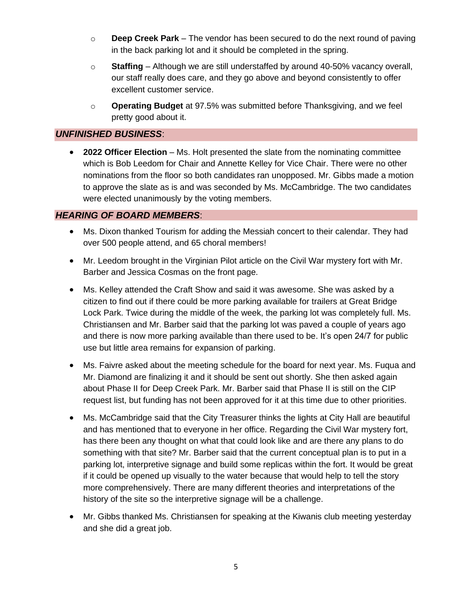- o **Deep Creek Park**  The vendor has been secured to do the next round of paving in the back parking lot and it should be completed in the spring.
- o **Staffing** Although we are still understaffed by around 40-50% vacancy overall, our staff really does care, and they go above and beyond consistently to offer excellent customer service.
- o **Operating Budget** at 97.5% was submitted before Thanksgiving, and we feel pretty good about it.

### *UNFINISHED BUSINESS*:

• **2022 Officer Election** – Ms. Holt presented the slate from the nominating committee which is Bob Leedom for Chair and Annette Kelley for Vice Chair. There were no other nominations from the floor so both candidates ran unopposed. Mr. Gibbs made a motion to approve the slate as is and was seconded by Ms. McCambridge. The two candidates were elected unanimously by the voting members.

#### *HEARING OF BOARD MEMBERS*:

- Ms. Dixon thanked Tourism for adding the Messiah concert to their calendar. They had over 500 people attend, and 65 choral members!
- Mr. Leedom brought in the Virginian Pilot article on the Civil War mystery fort with Mr. Barber and Jessica Cosmas on the front page.
- Ms. Kelley attended the Craft Show and said it was awesome. She was asked by a citizen to find out if there could be more parking available for trailers at Great Bridge Lock Park. Twice during the middle of the week, the parking lot was completely full. Ms. Christiansen and Mr. Barber said that the parking lot was paved a couple of years ago and there is now more parking available than there used to be. It's open 24/7 for public use but little area remains for expansion of parking.
- Ms. Faivre asked about the meeting schedule for the board for next year. Ms. Fuqua and Mr. Diamond are finalizing it and it should be sent out shortly. She then asked again about Phase II for Deep Creek Park. Mr. Barber said that Phase II is still on the CIP request list, but funding has not been approved for it at this time due to other priorities.
- Ms. McCambridge said that the City Treasurer thinks the lights at City Hall are beautiful and has mentioned that to everyone in her office. Regarding the Civil War mystery fort, has there been any thought on what that could look like and are there any plans to do something with that site? Mr. Barber said that the current conceptual plan is to put in a parking lot, interpretive signage and build some replicas within the fort. It would be great if it could be opened up visually to the water because that would help to tell the story more comprehensively. There are many different theories and interpretations of the history of the site so the interpretive signage will be a challenge.
- Mr. Gibbs thanked Ms. Christiansen for speaking at the Kiwanis club meeting yesterday and she did a great job.